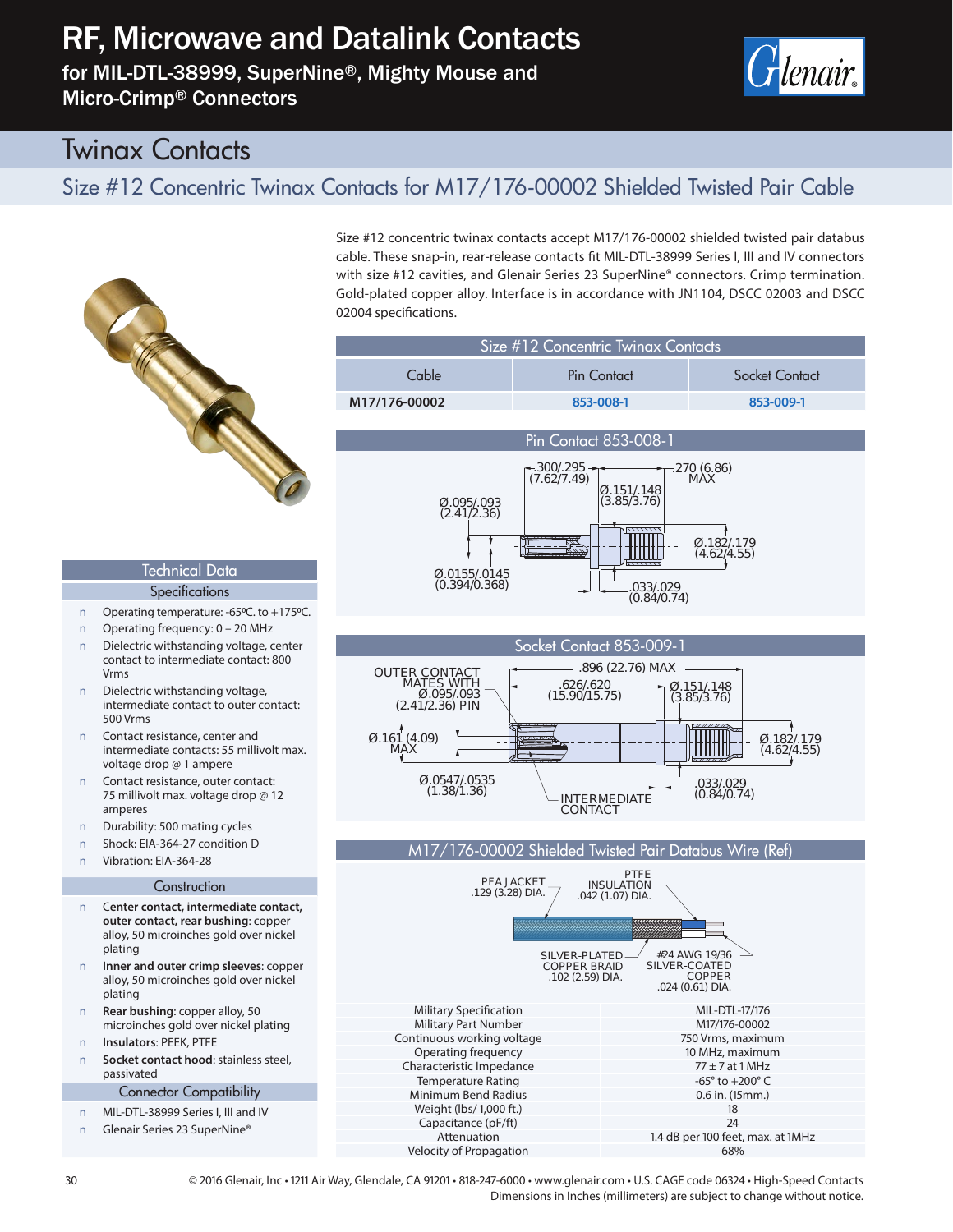# RF, Microwave and Datalink Contacts

for MIL-DTL-38999, SuperNine®, Mighty Mouse and Micro-Crimp® Connectors



## Twinax Contacts

## Size #12 Concentric Twinax Contacts for M17/176-00002 Shielded Twisted Pair Cable



Technical Data **Specifications** Operating temperature: -65°C. to +175°C. Q Operating frequency: 0 – 20 MHz Dielectric withstanding voltage, center contact to intermediate contact: 800

Dielectric withstanding voltage, intermediate contact to outer contact:

Contact resistance, center and intermediate contacts: 55 millivolt max.

Durability: 500 mating cycles Shock: EIA-364-27 condition D Vibration: FIA-364-28

voltage drop @ 1 ampere Contact resistance, outer contact: 75 millivolt max. voltage drop @ 12

Vrms

500 Vrms

amperes

Size #12 concentric twinax contacts accept M17/176-00002 shielded twisted pair databus cable. These snap-in, rear-release contacts fit MIL-DTL-38999 Series I, III and IV connectors with size #12 cavities, and Glenair Series 23 SuperNine® connectors. Crimp termination. Gold-plated copper alloy. Interface is in accordance with JN1104, DSCC 02003 and DSCC 02004 specifications.

| Size #12 Concentric Twinax Contacts |             |                |
|-------------------------------------|-------------|----------------|
| Cable                               | Pin Contact | Socket Contact |
| M17/176-00002                       | 853-008-1   | 853-009-1      |







#### M17/176-00002 Shielded Twisted Pair Databus Wire (Ref)



**Construction** Q C**enter contact, intermediate contact, outer contact, rear bushing**: copper alloy, 50 microinches gold over nickel plating

**Q Inner and outer crimp sleeves**: copper alloy, 50 microinches gold over nickel plating

**Q Rear bushing**: copper alloy, 50 microinches gold over nickel plating **Q Insulators**: PEEK, PTFE

Socket contact hood: stainless steel, passivated

Connector Compatibility

Q MIL-DTL-38999 Series I, III and IV Glenair Series 23 SuperNine®

30 © 2016 Glenair, Inc • 1211 Air Way, Glendale, CA 91201 • 818-247-6000 • www.glenair.com • U.S. CAGE code 06324 • High-Speed Contacts Dimensions in Inches (millimeters) are subject to change without notice.